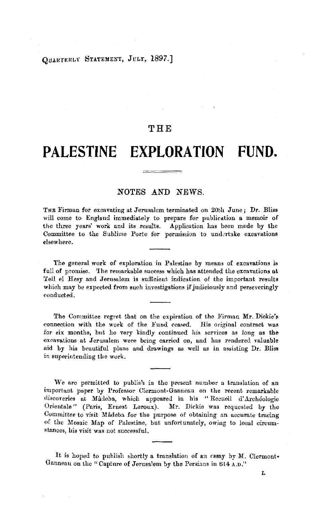# QUARTERLY STATEMENT, JULY, 1897.]

# **THE**

# **PALESTINE EXPLORATION FUND.**

## NOTES .AND *NEWS.*

THE Firman for excavating at Jerusalem terminated on 20th June; Dr. Bliss will come to Englund immediately to prepare for publication a memoir of the three years' work and its results. Application has been made by the Committee to the Sublime Porte for permission to undertake excavations elsewhere.

The general work of exploration in Palestine by means of excavations is full of promise. The remarkable success which has attended the excavations at 'fell el Hesy and Jerusalem is sufficient indication of the important results which may be expected from such investigations if judiciously and perseveringly conducted.

The Committee regret that on the expiration of the Firman Mr. Dickie's connection with the work of the Fund ceased. His original contract was for six months, but he very kindly continued his services as long as the excavations at Jerusalem were being carried on, and has rendered valuable aid by his beautiful plans and drawings as well as in assisting Dr. Bliss in superintending the work.

We arc permitted to publish in the present number a translation of an important paper by Professor Clermont-Ganneau on the recent remarkable discoveries at Mâdeba, which appeared in his "Recueil d'Archéologie Orientale" (Paris, Ernest Leroux). Mr. Dickie was requested by the Committee to visit Madeba for the purpose of obtaining an accurate tracing of the Mosaic Map of Palestine, but unfortunately, *owiug* to local circumstances, his visit was not successful.

It is hoped to publish shortly a translation of an essay by M. Clermont• Ganneau on the "Capture of Jerusalem by the Persians in 614 A.D."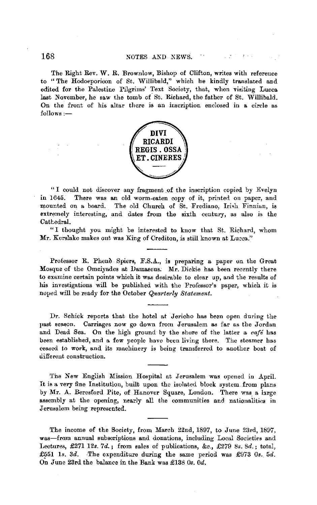The Right Rev. **W. R.** Brownlow, Bishop of Clifton, writes with reference to "The Hodoeporicon of St. Wi!libald," which he kindly translated and edited for the Palestine Pilgrims' Text Society, that, when visiting Lucca last November, he saw the tomb of St. Richard, the father of St. Willibald. On the front of his altar there is an inscription enclosed in a circle as  $follows:$ 



"I could not discover any fragment of the inscription copied by Evelyn in 1645. There was an old worm-eaten copy of it, printed on paper, and There was an old worm-eaten copy of it, printed on paper, and mounted on a board. The old Church of St. Frediano, Irish Finniun, is extremely interesting, and dates from the sixth century, as also is the Cathedral.

"I thought you might be interested to know that St. Richard, whom Mr. Kerslake makes out was King of Crediton, is still known at Lucca."

Professor R. Phene Spiers, F.S.A., is preparing a paper on the Great Mosque of the Omeiyades at Damascus. Mr. Dickie has been recently there to examine certain points which it was desirable to clear up, and the results of his investigations will be published with the Professor's paper, which it is noped will be ready for the October *Quarterly Statement.* 

Dr. Schick reports that the hotel at Jericho has been open during the past season. Carriages now go down from Jerusalem as far as the Jordan and Dead Sea. On the high ground by the shore of the latter a *café* has been established, and a few people have been living there. The steamer has ceased to work, and its machinery is being transferred to another boat of different construction.

The New English Mission Hospital at Jerusalem was opened in April. It is a very fine Institution, built upon the isolated block system from plans by Mr. A. Beresford Pite, of Hanover Square, London. There was a large assembly at the opening, nearly all the communities and nationalities in Jerusalem being represented.

The income of the Society, from March 22nd, 1897, to June 23rd, 1897, was-from annual subscriptions and donations, including Local Societies and Lectures, £271 12s, *7d.;* from sales of publications, &c., £279 *8s.* Sd.; total, £551 1s. 3d. The expenditure during the same period was £973 0s. 5d. 0~ June 23rd the balance in the Bank was £138 *Os. Od.*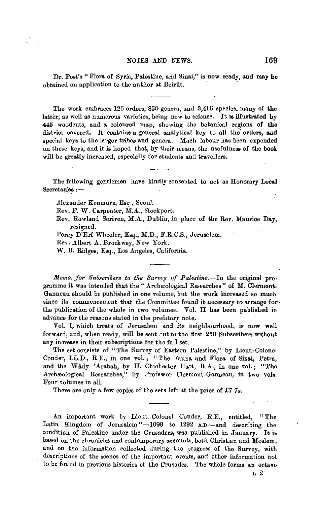#### NOTES AND NEWS.

Dr. Post's "Flora of Syria, Palestine, and Sinai," is now ready, and may be obtained on application to the author at Beirût.

The work embraces 126 orders, 850 genera, and 3,416 species, many of the latter; as well as numerous varieties, being new to science. It is illustrated by 445 woodcuts, and a coloured map, showing the botanical regions of the district covered. It contains a general analytical key to all the orders, and special keys to the larger tribes and genera. Much labour has been expended on these keys, and jt is hoped that, by their means, the usefulness of the book will be greatly increased, especially for students and travellers.

The following gentlemen have kindly consented to act as Honorary Local  $S**ecretaries** : -$ 

Alexander Kenmure, Esq., Seoul.

Rev. F. W. Carpenter, M.A., Stockport.

Rev. Rowland Scriven, M.A., Dublin, in place of the Rev. Maurice Day,. resigned.

Percy D'Erf Wheeler, Esq., M.D., F.R.C.S., Jerusalem.

Rev. Albert A. Brockway, New York.

W. B. Ridges, Esq., Los Angeles, California.

*Memo. for Subscribers to the Survey of Palestine.*-In the original programme it was intended that the "Archæological Researches" of M. Clermont-Ganneau should be published in one volume, but the work increased so much since its commencement that the Committee found it necessary to arrange forthe publication of the whole in two volumes. Vol. II has been published in advance for the reasons stated in the prefatory note.

Vol. I, which treats of Jerusalem and its neighbourhood, is now well forward, and, when ready, will be sent out to the first 250 Subscribers without any increase in their subscriptions for the full set.

The set consists of "The Survey of Eastern Palestine," by Licut.-Colonel Conder, LL.D., R.E., in one vol.; "The Fauna and Flora of Sinai, Petra, and the Wâdy 'Arabah, by H. Chichester Hart, B.A., in one vol.; "The Archæological Researches," by Professor Clermont-Ganneau, in two vols. Four volumes in all.

There are only a few copies of the sets left at the price of £7 7s.

An important work by Lieut.-Colonel Conder, R.E., entitled, "The Latin Kingdom of Jerusalem "-1099 to 1292 A.D.-and describing the condition of Palestine under the Crusaders, was published in January. It is based on the chronicles and contemporary accounts, both Christian and Moslem, and on the information collected during the progress of the Survey, with descriptions of the scenes of the important events, and other information not to be found in previous histories of the Crusades. The whole forms an octavo

169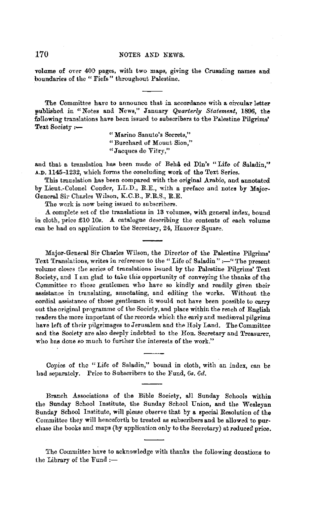### 170 NOTES AND NEWS.

volume of over 400 pages, with two maps, giving the Crusading names and boundaries of the " Fiefs" throughout Palestine.

The Committee have to announce that in accordance with a circular letter published in "Notes and News," January *Quarterly Statement,* 1896, the following translations have been issued to subscribers to the Palestine Pilgrims' Text Society *:-*

> " Marino Sanuto's Secrets," "Burchard of Mount Sion," "Jacques de Vitry,"

and that a translation has been made of Beha ed Din's "Life of Saladin." **A.D.** 1145-1232, which forms the concluding work of the Text Series.

This translation has been compared with the original Arabic, and annotated by Lieut.-Colonel Conder, LL.D., R.E., with a preface and notes by Major-General Sir Charles Wilson, K.C.B., F.R.S., R.E.

The work is now being issued to subscribers.

A complete set of the translations in 13 volumes, with general index, bound in cloth, price £10 10s. *A.* catalogue describing the contents of each volume can be had on application to the Secretary, 24, Hanover Square.

Major-General Sir Charles Wilson, the Director of the Palestine Pilgrims' Text Translations, writes in reference to the "Life of Saladin":-" The present volume closes the series of translations issued by the Palestine Pilgrims' Text Society, and I am glad to take this opportunity of conveying the thanks of the Committee to those gentlemen who have so kindly and readily given their assistance in translating, annotating, and editing the works. Without the cordial assistance of those gentlemen it would not have been possible to carry out the original programme of the Society, and place within the reach of English readers the more important of the records which the early and medieval pilgrims have left of their pilgrimages to Jerusalem and the Holy Land. The Committee and the Society are also deeply indebted to the Hon. Secretary and Treasurer, who has done so much to further the interests of the work."

Copies of the "Life of Saladin," bound in cloth, with an index, can be had separately. Price to Subscribers to the Fund, 6s. 6d.

Branch Associations of the Bible Society, all Sunday Schools within the Sunday School Institute, the Sunday School Union, and the Wesleyan Sunday School Institute, will please observe that by a special Resolution of the Committee they will henceforth be treated as subscribers and be allowed to purchase Lhe books and maps (by application only to the Secretary) at reduced price.

The Committee have to acknowledge with thanks the following donations to the Library of the  $Fund :=$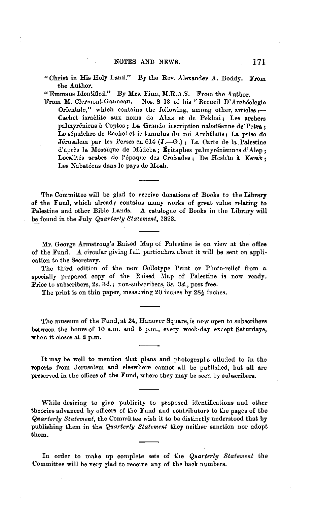"Christ in His Holy Land." By the Rev. Alexander A. Boddy. From the Author.

"Emmaus Identified." By Mrs. Finn, M.R.A.S. From the Author.

From M. Clermont-Ganneau. Nos. 8-13 of his "Recueil D'Archéologie Orientale," w hieh contains the following, among other, artieles *:-* Cachet israélite aux noms de Ahaz et de Pekhai; Les archers palmyréniens à Coptos; La Grande inscription nabatéenne de Petra: Le sépulchre de Rachel et le tumulus du roi Archélaüs; La prise de Jérusalem par les Perses en 614 (J.--G.); La Carte de la Palestine d'après la Mosaïque de Mâdeba; Épitaphes palmyréniennes d'Alep; Localités arabes de l'époque des Croisades; De Hesbân à Kerak; Les Nabatéens dans le pays de Moab.

The Committee will be glad to receive donations of Books to the Library of the Fund, which already contains many works of great value relating to Palestine and other Bible Lands. A catalogue of Books in the Library will be found in the July *Quarterly Statement,* 1893.

Mr. George Armstrong's Raised Map of Palestine is on view at the office of the Fund. A circular giving full particulars about it will be sent on application to the Secretary.

The third edition of the new Collotype Print or Photo-relief from a specially prepared copy of the Raised Map of Palestine is now ready. Price to subscribers, 2s. 3d.; non-subscribers, 3s. 3d., post free.

The print is on thin paper, measuring 20 inches by  $28\frac{1}{2}$  inches.

The museum of the Fund, at 24, Hanover Square, is now open to subscribers between the hours of 10 a.m. and 5 p.m., every week-day except Saturdays, when it closes at 2 p.m.

It may be well to mention that plans and photographs alluded to in the reports from Jerusalem and elsewhere cannot all be published, but all are preserved in the offices of the Fund, where they may be seen by subscribers.

While desiring to give publicity to proposed identifications and other theories advanced by officers of the Fund and contributors to the pages of tbe Quarterly Statement, the Committee wish it to be distinctly understood that by publishing them in the *Quarterly Statement* they neither sanction nor adopt them.

In order to make up complete sets of the *Quarterly Stafe,nent* the Committee will be very glad to receive any of the back numbers.